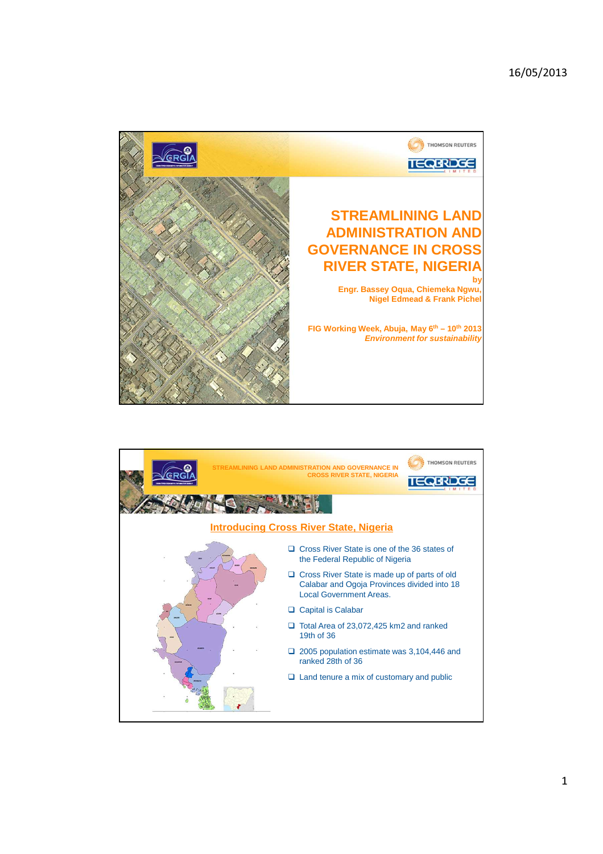

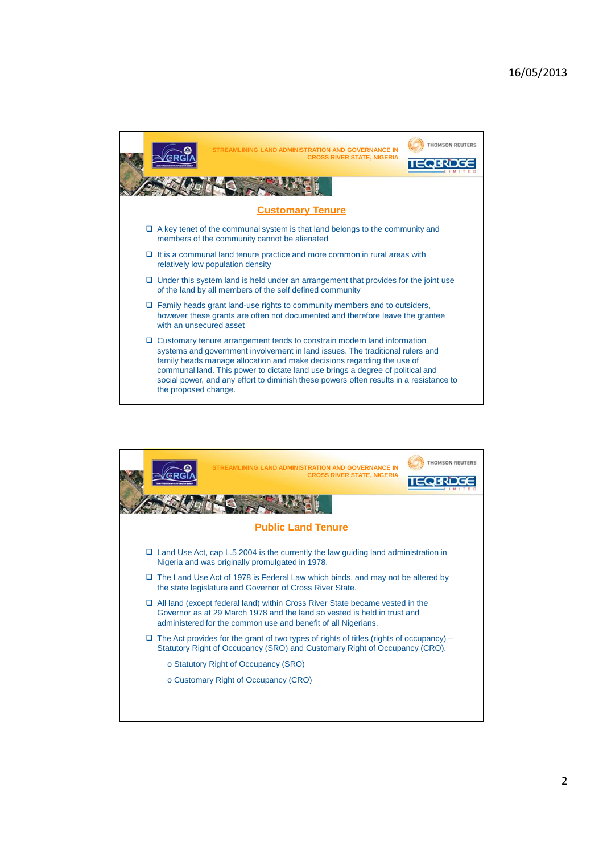

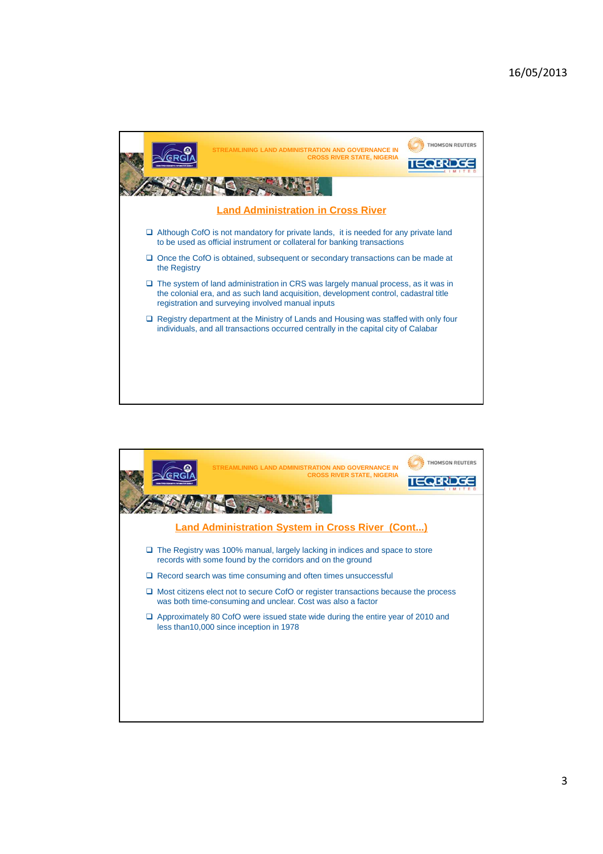

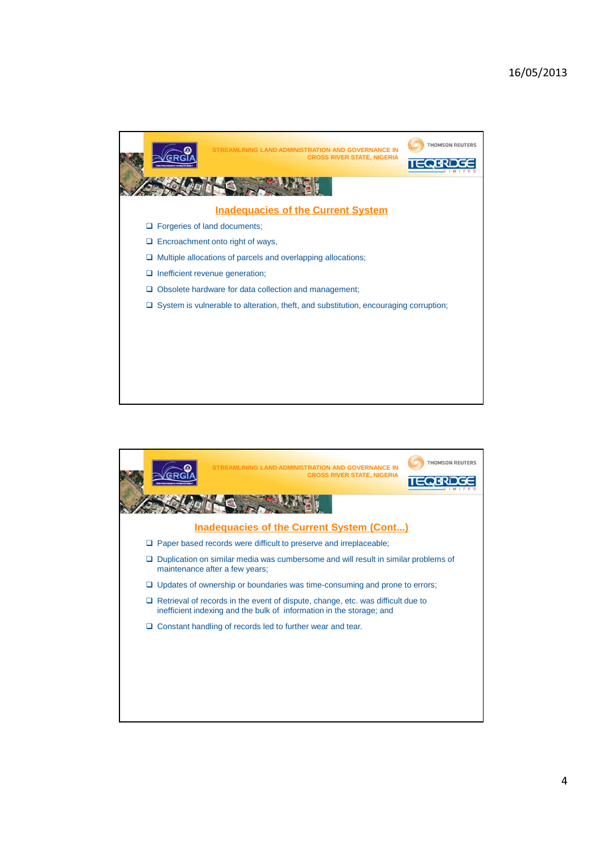

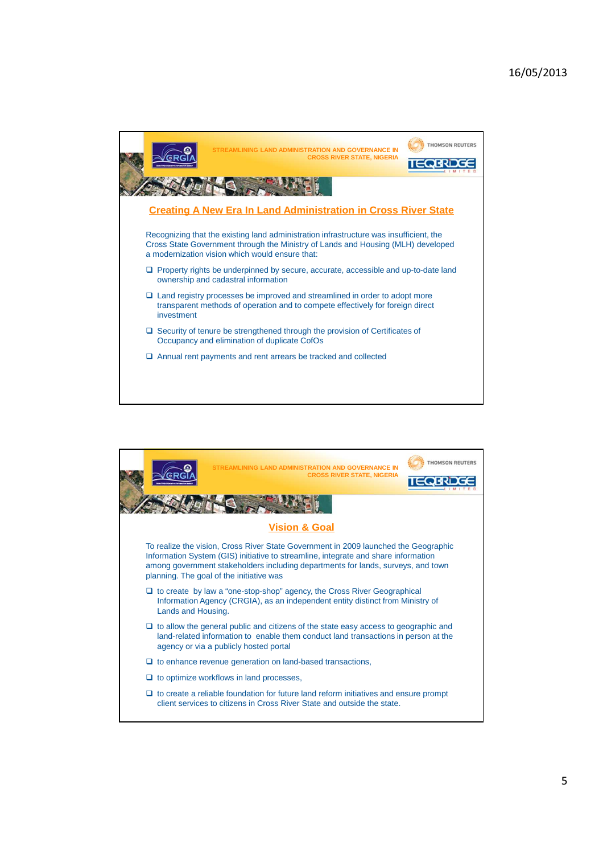

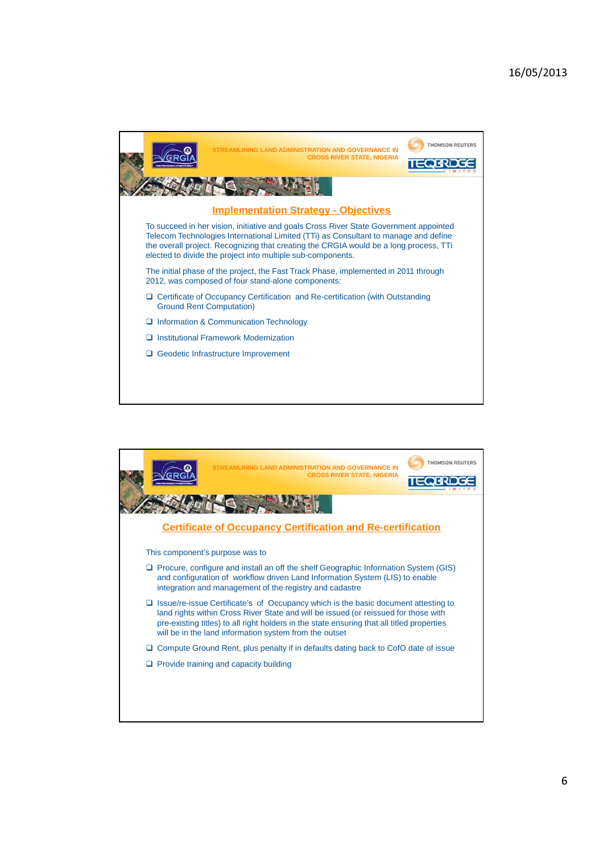

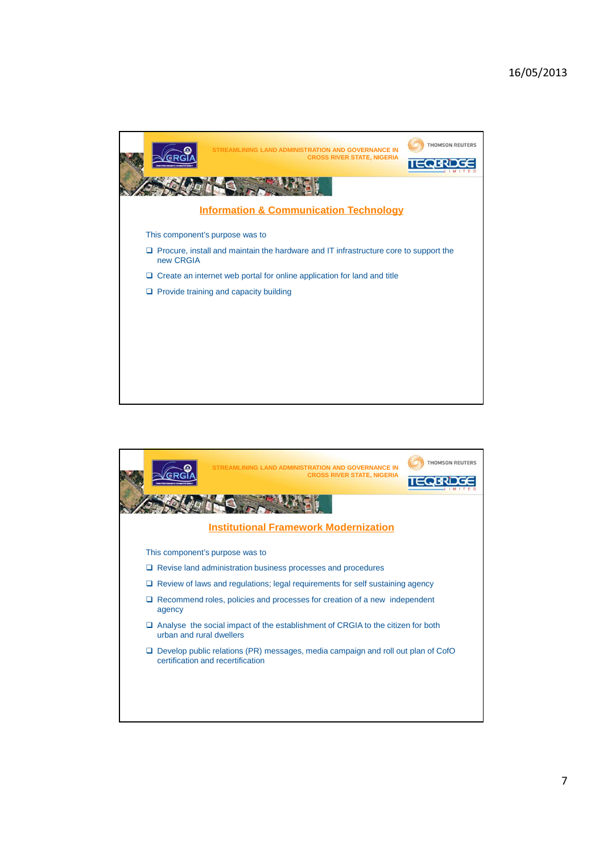

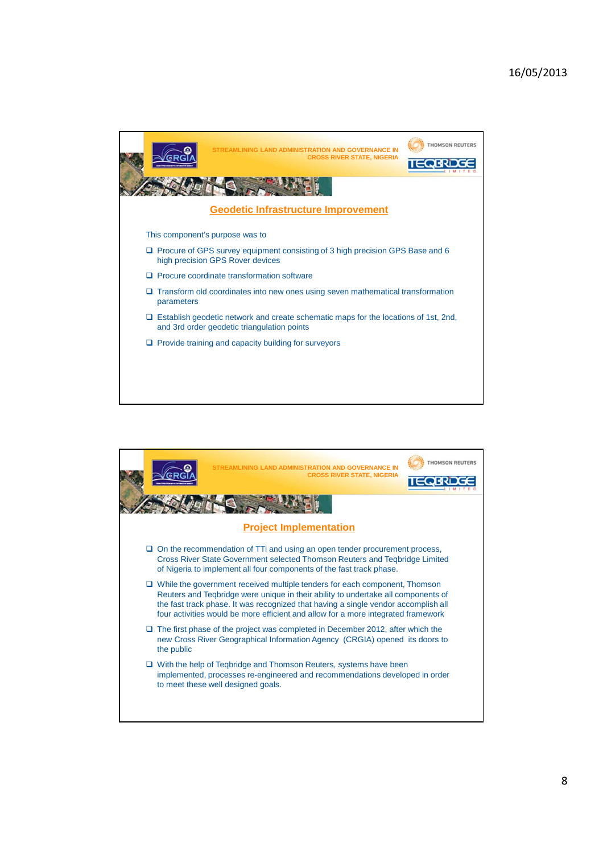

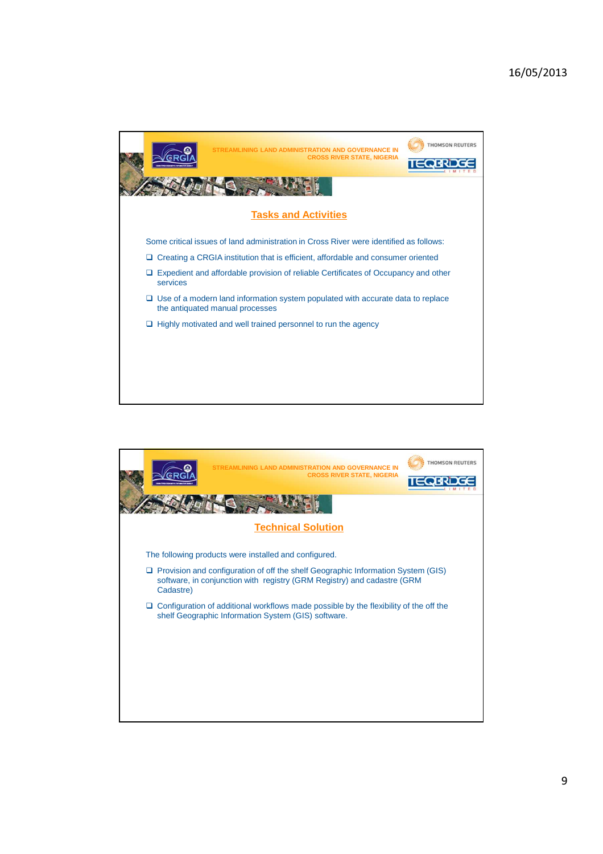

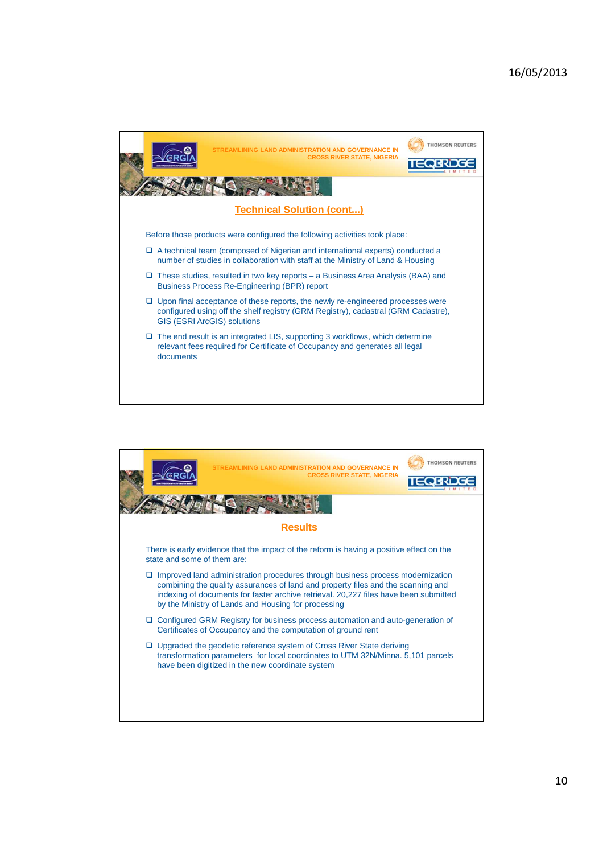

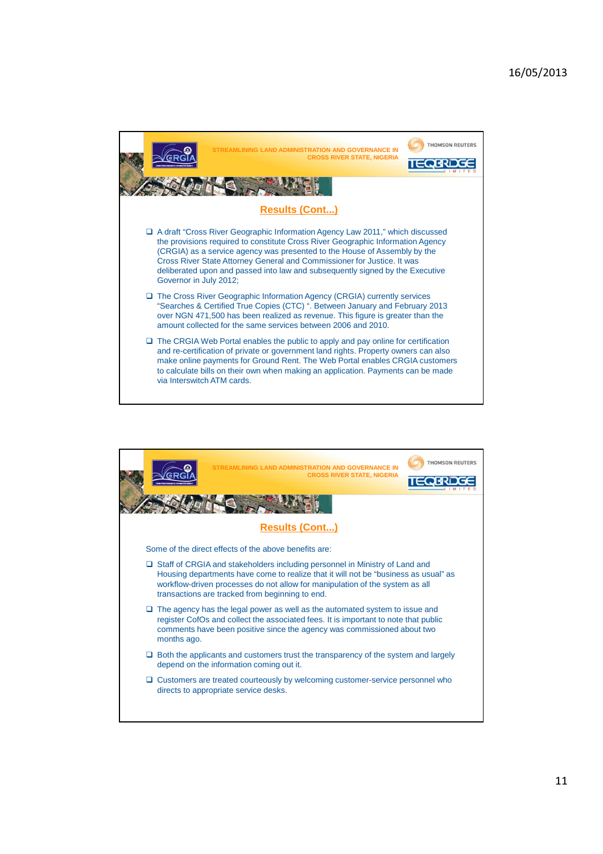

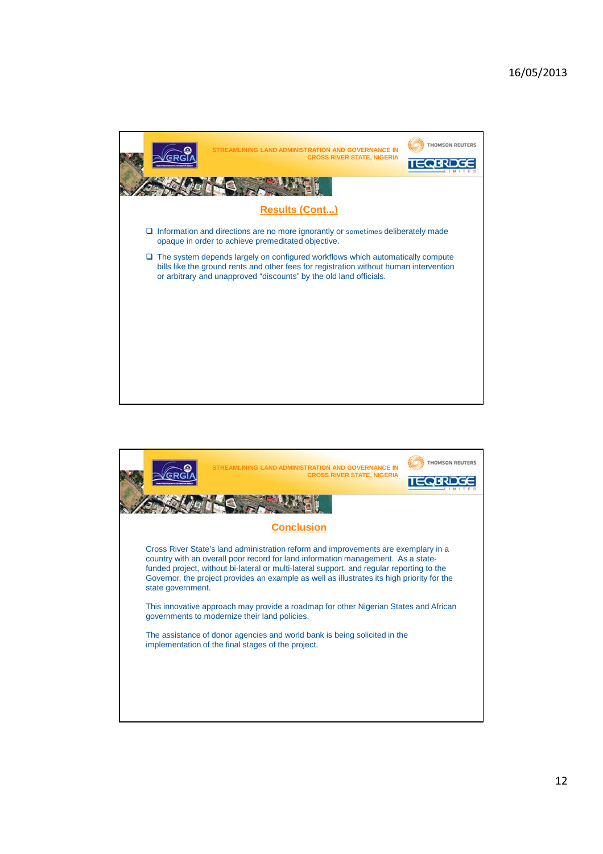

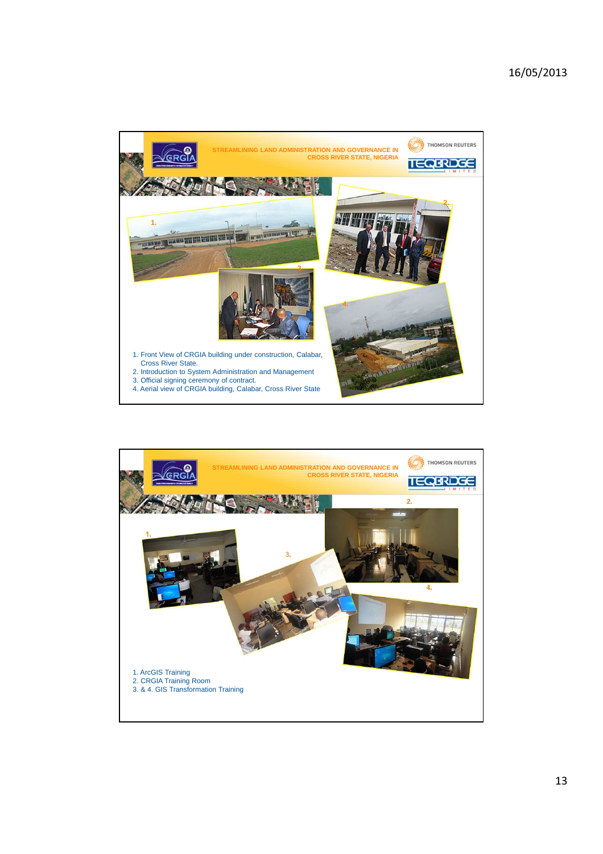